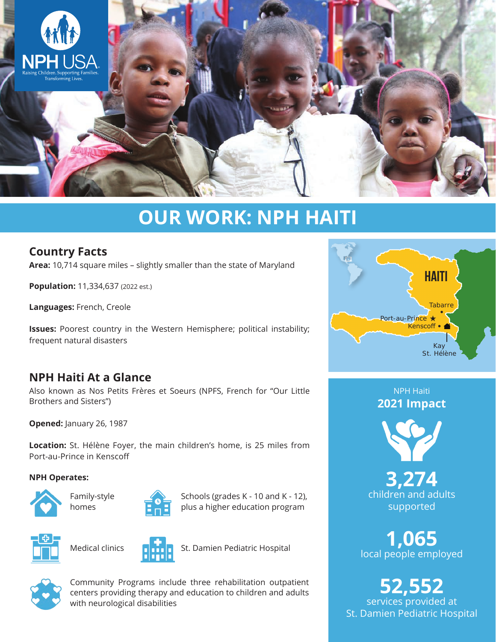

# **OUR WORK: NPH HAITI**

## **Country Facts**

**Area:** 10,714 square miles – slightly smaller than the state of Maryland

**Population:** 11,334,637 (2022 est.)

**Languages:** French, Creole

**Issues:** Poorest country in the Western Hemisphere; political instability; frequent natural disasters

## **NPH Haiti At a Glance**

Also known as Nos Petits Frères et Soeurs (NPFS, French for "Our Little Brothers and Sisters")

**Opened:** January 26, 1987

**Location:** St. Hélène Foyer, the main children's home, is 25 miles from Port-au-Prince in Kenscoff

#### **NPH Operates:**







Schools (grades K - 10 and K - 12), plus a higher education program



Medical clinics



St. Damien Pediatric Hospital



Community Programs include three rehabilitation outpatient centers providing therapy and education to children and adults with neurological disabilities



NPH Haiti **2021 Impact**



**3,274** children and adults supported

**1,065** local people employed

**52,552** services provided at St. Damien Pediatric Hospital